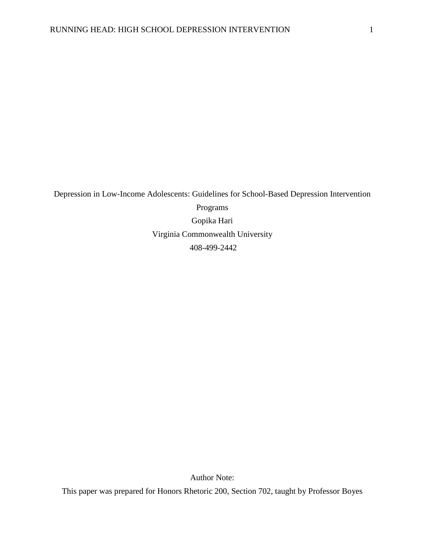Depression in Low-Income Adolescents: Guidelines for School-Based Depression Intervention Programs Gopika Hari Virginia Commonwealth University 408-499-2442

Author Note:

This paper was prepared for Honors Rhetoric 200, Section 702, taught by Professor Boyes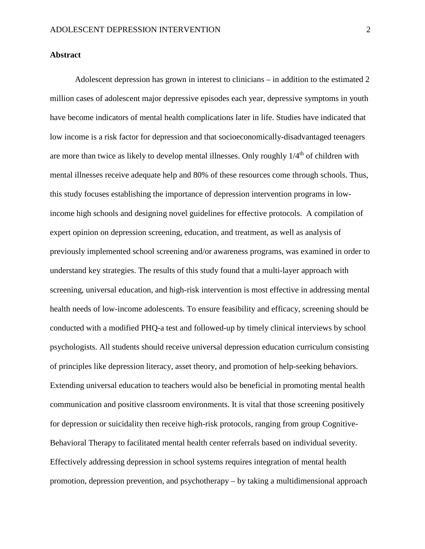# **Abstract**

Adolescent depression has grown in interest to clinicians – in addition to the estimated 2 million cases of adolescent major depressive episodes each year, depressive symptoms in youth have become indicators of mental health complications later in life. Studies have indicated that low income is a risk factor for depression and that socioeconomically-disadvantaged teenagers are more than twice as likely to develop mental illnesses. Only roughly  $1/4<sup>th</sup>$  of children with mental illnesses receive adequate help and 80% of these resources come through schools. Thus, this study focuses establishing the importance of depression intervention programs in lowincome high schools and designing novel guidelines for effective protocols. A compilation of expert opinion on depression screening, education, and treatment, as well as analysis of previously implemented school screening and/or awareness programs, was examined in order to understand key strategies. The results of this study found that a multi-layer approach with screening, universal education, and high-risk intervention is most effective in addressing mental health needs of low-income adolescents. To ensure feasibility and efficacy, screening should be conducted with a modified PHQ-a test and followed-up by timely clinical interviews by school psychologists. All students should receive universal depression education curriculum consisting of principles like depression literacy, asset theory, and promotion of help-seeking behaviors. Extending universal education to teachers would also be beneficial in promoting mental health communication and positive classroom environments. It is vital that those screening positively for depression or suicidality then receive high-risk protocols, ranging from group Cognitive-Behavioral Therapy to facilitated mental health center referrals based on individual severity. Effectively addressing depression in school systems requires integration of mental health promotion, depression prevention, and psychotherapy – by taking a multidimensional approach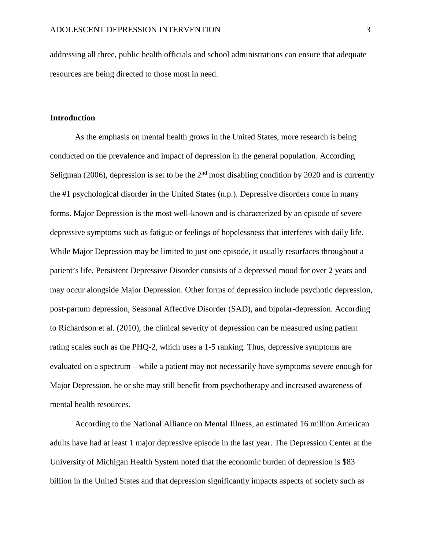addressing all three, public health officials and school administrations can ensure that adequate resources are being directed to those most in need.

## **Introduction**

As the emphasis on mental health grows in the United States, more research is being conducted on the prevalence and impact of depression in the general population. According Seligman (2006), depression is set to be the  $2<sup>nd</sup>$  most disabling condition by 2020 and is currently the #1 psychological disorder in the United States (n.p.). Depressive disorders come in many forms. Major Depression is the most well-known and is characterized by an episode of severe depressive symptoms such as fatigue or feelings of hopelessness that interferes with daily life. While Major Depression may be limited to just one episode, it usually resurfaces throughout a patient's life. Persistent Depressive Disorder consists of a depressed mood for over 2 years and may occur alongside Major Depression. Other forms of depression include psychotic depression, post-partum depression, Seasonal Affective Disorder (SAD), and bipolar-depression. According to Richardson et al. (2010), the clinical severity of depression can be measured using patient rating scales such as the PHQ-2, which uses a 1-5 ranking. Thus, depressive symptoms are evaluated on a spectrum – while a patient may not necessarily have symptoms severe enough for Major Depression, he or she may still benefit from psychotherapy and increased awareness of mental health resources.

According to the National Alliance on Mental Illness, an estimated 16 million American adults have had at least 1 major depressive episode in the last year. The Depression Center at the University of Michigan Health System noted that the economic burden of depression is \$83 billion in the United States and that depression significantly impacts aspects of society such as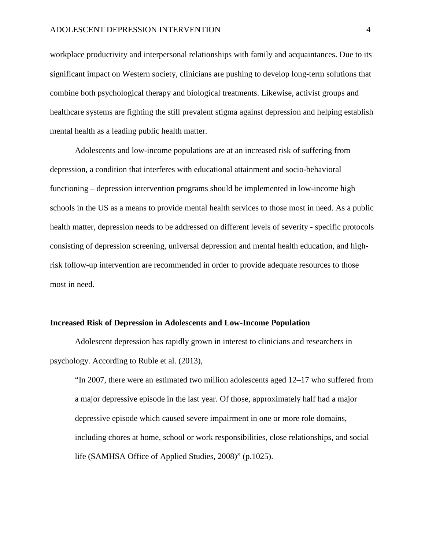workplace productivity and interpersonal relationships with family and acquaintances. Due to its significant impact on Western society, clinicians are pushing to develop long-term solutions that combine both psychological therapy and biological treatments. Likewise, activist groups and healthcare systems are fighting the still prevalent stigma against depression and helping establish mental health as a leading public health matter.

Adolescents and low-income populations are at an increased risk of suffering from depression, a condition that interferes with educational attainment and socio-behavioral functioning – depression intervention programs should be implemented in low-income high schools in the US as a means to provide mental health services to those most in need. As a public health matter, depression needs to be addressed on different levels of severity - specific protocols consisting of depression screening, universal depression and mental health education, and highrisk follow-up intervention are recommended in order to provide adequate resources to those most in need.

### **Increased Risk of Depression in Adolescents and Low-Income Population**

Adolescent depression has rapidly grown in interest to clinicians and researchers in psychology. According to Ruble et al. (2013),

"In 2007, there were an estimated two million adolescents aged 12–17 who suffered from a major [depressive](http://www.sciencedirect.com/science/article/pii/S0165032713003923#200024338) episode in the last year. Of those, approximately half had a major depressive episode which caused severe impairment in one or more role domains, including chores at home, school or work responsibilities, close relationships, and social life [\(SAMHSA](http://www.sciencedirect.com/science/article/pii/S0165032713003923#bib26) Office of Applied Studies, 2008)" (p.1025).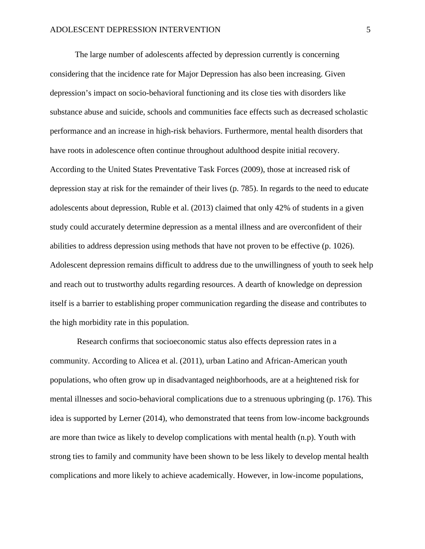The large number of adolescents affected by depression currently is concerning considering that the incidence rate for Major Depression has also been increasing. Given depression's impact on socio-behavioral functioning and its close ties with disorders like substance abuse and suicide, schools and communities face effects such as decreased scholastic performance and an increase in high-risk behaviors. Furthermore, mental health disorders that have roots in adolescence often continue throughout adulthood despite initial recovery. According to the United States Preventative Task Forces (2009), those at increased risk of depression stay at risk for the remainder of their lives (p. 785). In regards to the need to educate adolescents about depression, Ruble et al. (2013) claimed that only 42% of students in a given study could accurately determine depression as a mental illness and are overconfident of their abilities to address depression using methods that have not proven to be effective (p. 1026). Adolescent depression remains difficult to address due to the unwillingness of youth to seek help and reach out to trustworthy adults regarding resources. A dearth of knowledge on depression itself is a barrier to establishing proper communication regarding the disease and contributes to the high morbidity rate in this population.

Research confirms that socioeconomic status also effects depression rates in a community. According to Alicea et al. (2011), urban Latino and African-American youth populations, who often grow up in disadvantaged neighborhoods, are at a heightened risk for mental illnesses and socio-behavioral complications due to a strenuous upbringing (p. 176). This idea is supported by Lerner (2014), who demonstrated that teens from low-income backgrounds are more than twice as likely to develop complications with mental health (n.p). Youth with strong ties to family and community have been shown to be less likely to develop mental health complications and more likely to achieve academically. However, in low-income populations,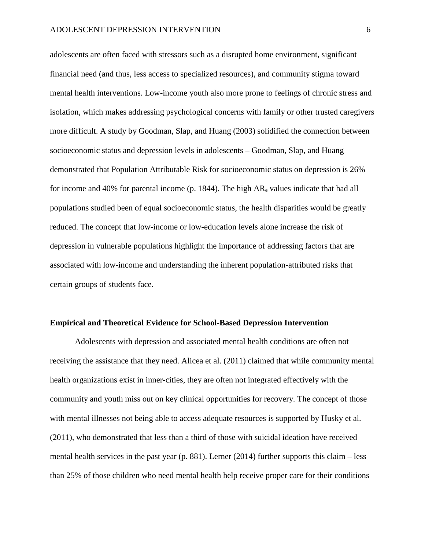adolescents are often faced with stressors such as a disrupted home environment, significant financial need (and thus, less access to specialized resources), and community stigma toward mental health interventions. Low-income youth also more prone to feelings of chronic stress and isolation, which makes addressing psychological concerns with family or other trusted caregivers more difficult. A study by Goodman, Slap, and Huang (2003) solidified the connection between socioeconomic status and depression levels in adolescents – Goodman, Slap, and Huang demonstrated that Population Attributable Risk for socioeconomic status on depression is 26% for income and 40% for parental income (p. 1844). The high  $AR_e$  values indicate that had all populations studied been of equal socioeconomic status, the health disparities would be greatly reduced. The concept that low-income or low-education levels alone increase the risk of depression in vulnerable populations highlight the importance of addressing factors that are associated with low-income and understanding the inherent population-attributed risks that certain groups of students face.

### **Empirical and Theoretical Evidence for School-Based Depression Intervention**

Adolescents with depression and associated mental health conditions are often not receiving the assistance that they need. Alicea et al. (2011) claimed that while community mental health organizations exist in inner-cities, they are often not integrated effectively with the community and youth miss out on key clinical opportunities for recovery. The concept of those with mental illnesses not being able to access adequate resources is supported by Husky et al. (2011), who demonstrated that less than a third of those with suicidal ideation have received mental health services in the past year (p. 881). Lerner (2014) further supports this claim – less than 25% of those children who need mental health help receive proper care for their conditions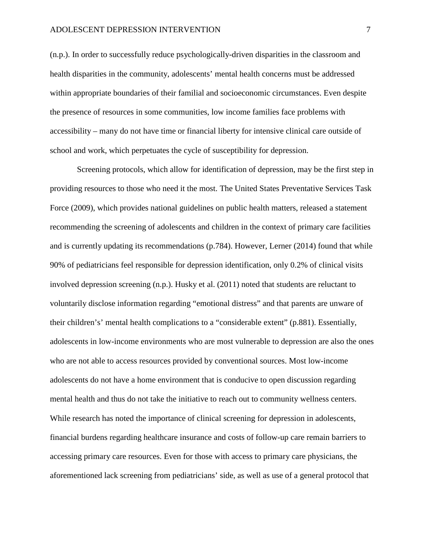(n.p.). In order to successfully reduce psychologically-driven disparities in the classroom and health disparities in the community, adolescents' mental health concerns must be addressed within appropriate boundaries of their familial and socioeconomic circumstances. Even despite the presence of resources in some communities, low income families face problems with accessibility – many do not have time or financial liberty for intensive clinical care outside of school and work, which perpetuates the cycle of susceptibility for depression.

Screening protocols, which allow for identification of depression, may be the first step in providing resources to those who need it the most. The United States Preventative Services Task Force (2009), which provides national guidelines on public health matters, released a statement recommending the screening of adolescents and children in the context of primary care facilities and is currently updating its recommendations (p.784). However, Lerner (2014) found that while 90% of pediatricians feel responsible for depression identification, only 0.2% of clinical visits involved depression screening (n.p.). Husky et al. (2011) noted that students are reluctant to voluntarily disclose information regarding "emotional distress" and that parents are unware of their children's' mental health complications to a "considerable extent" (p.881). Essentially, adolescents in low-income environments who are most vulnerable to depression are also the ones who are not able to access resources provided by conventional sources. Most low-income adolescents do not have a home environment that is conducive to open discussion regarding mental health and thus do not take the initiative to reach out to community wellness centers. While research has noted the importance of clinical screening for depression in adolescents, financial burdens regarding healthcare insurance and costs of follow-up care remain barriers to accessing primary care resources. Even for those with access to primary care physicians, the aforementioned lack screening from pediatricians' side, as well as use of a general protocol that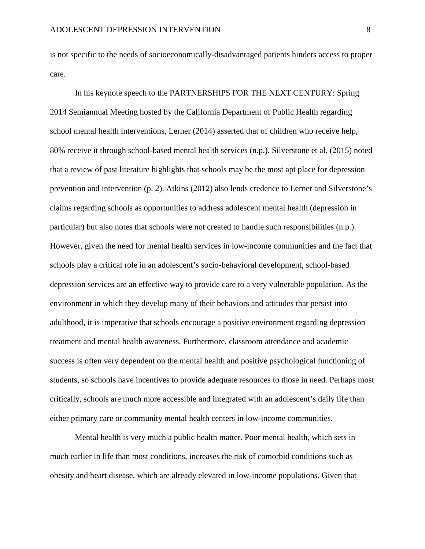is not specific to the needs of socioeconomically-disadvantaged patients hinders access to proper care.

In his keynote speech to the PARTNERSHIPS FOR THE NEXT CENTURY: Spring 2014 Semiannual Meeting hosted by the California Department of Public Health regarding school mental health interventions, Lerner (2014) asserted that of children who receive help, 80% receive it through school-based mental health services (n.p.). Silverstone et al. (2015) noted that a review of past literature highlights that schools may be the most apt place for depression prevention and intervention (p. 2). Atkins (2012) also lends credence to Lerner and Silverstone's claims regarding schools as opportunities to address adolescent mental health (depression in particular) but also notes that schools were not created to handle such responsibilities (n.p.). However, given the need for mental health services in low-income communities and the fact that schools play a critical role in an adolescent's socio-behavioral development, school-based depression services are an effective way to provide care to a very vulnerable population. As the environment in which they develop many of their behaviors and attitudes that persist into adulthood, it is imperative that schools encourage a positive environment regarding depression treatment and mental health awareness. Furthermore, classroom attendance and academic success is often very dependent on the mental health and positive psychological functioning of students, so schools have incentives to provide adequate resources to those in need. Perhaps most critically, schools are much more accessible and integrated with an adolescent's daily life than either primary care or community mental health centers in low-income communities.

Mental health is very much a public health matter. Poor mental health, which sets in much earlier in life than most conditions, increases the risk of comorbid conditions such as obesity and heart disease, which are already elevated in low-income populations. Given that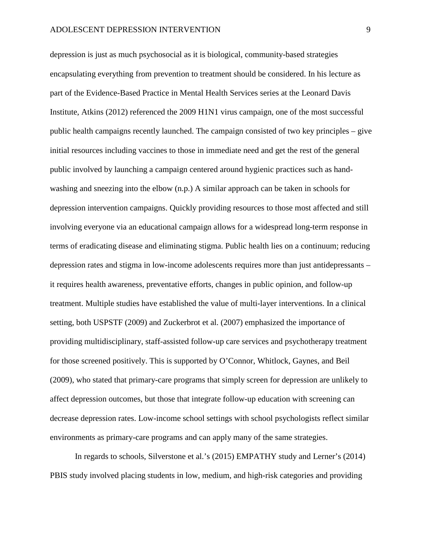depression is just as much psychosocial as it is biological, community-based strategies encapsulating everything from prevention to treatment should be considered. In his lecture as part of the Evidence-Based Practice in Mental Health Services series at the Leonard Davis Institute, Atkins (2012) referenced the 2009 H1N1 virus campaign, one of the most successful public health campaigns recently launched. The campaign consisted of two key principles – give initial resources including vaccines to those in immediate need and get the rest of the general public involved by launching a campaign centered around hygienic practices such as handwashing and sneezing into the elbow (n.p.) A similar approach can be taken in schools for depression intervention campaigns. Quickly providing resources to those most affected and still involving everyone via an educational campaign allows for a widespread long-term response in terms of eradicating disease and eliminating stigma. Public health lies on a continuum; reducing depression rates and stigma in low-income adolescents requires more than just antidepressants – it requires health awareness, preventative efforts, changes in public opinion, and follow-up treatment. Multiple studies have established the value of multi-layer interventions. In a clinical setting, both USPSTF (2009) and Zuckerbrot et al. (2007) emphasized the importance of providing multidisciplinary, staff-assisted follow-up care services and psychotherapy treatment for those screened positively. This is supported by O'Connor, Whitlock, Gaynes, and Beil (2009), who stated that primary-care programs that simply screen for depression are unlikely to affect depression outcomes, but those that integrate follow-up education with screening can decrease depression rates. Low-income school settings with school psychologists reflect similar environments as primary-care programs and can apply many of the same strategies.

In regards to schools, Silverstone et al.'s (2015) EMPATHY study and Lerner's (2014) PBIS study involved placing students in low, medium, and high-risk categories and providing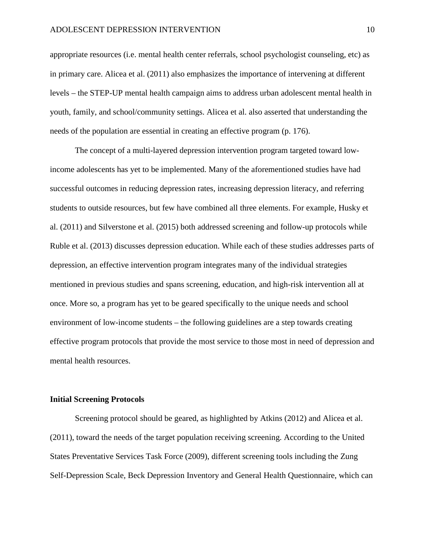appropriate resources (i.e. mental health center referrals, school psychologist counseling, etc) as in primary care. Alicea et al. (2011) also emphasizes the importance of intervening at different levels – the STEP-UP mental health campaign aims to address urban adolescent mental health in youth, family, and school/community settings. Alicea et al. also asserted that understanding the needs of the population are essential in creating an effective program (p. 176).

The concept of a multi-layered depression intervention program targeted toward lowincome adolescents has yet to be implemented. Many of the aforementioned studies have had successful outcomes in reducing depression rates, increasing depression literacy, and referring students to outside resources, but few have combined all three elements. For example, Husky et al. (2011) and Silverstone et al. (2015) both addressed screening and follow-up protocols while Ruble et al. (2013) discusses depression education. While each of these studies addresses parts of depression, an effective intervention program integrates many of the individual strategies mentioned in previous studies and spans screening, education, and high-risk intervention all at once. More so, a program has yet to be geared specifically to the unique needs and school environment of low-income students – the following guidelines are a step towards creating effective program protocols that provide the most service to those most in need of depression and mental health resources.

### **Initial Screening Protocols**

Screening protocol should be geared, as highlighted by Atkins (2012) and Alicea et al. (2011), toward the needs of the target population receiving screening. According to the United States Preventative Services Task Force (2009), different screening tools including the Zung Self-Depression Scale, Beck Depression Inventory and General Health Questionnaire, which can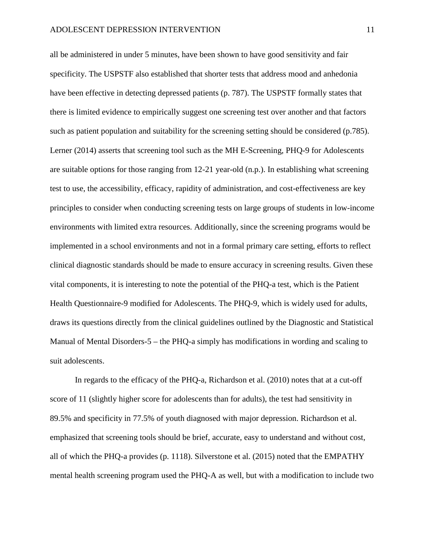all be administered in under 5 minutes, have been shown to have good sensitivity and fair specificity. The USPSTF also established that shorter tests that address mood and anhedonia have been effective in detecting depressed patients (p. 787). The USPSTF formally states that there is limited evidence to empirically suggest one screening test over another and that factors such as patient population and suitability for the screening setting should be considered (p.785). Lerner (2014) asserts that screening tool such as the MH E-Screening, PHQ-9 for Adolescents are suitable options for those ranging from 12-21 year-old (n.p.). In establishing what screening test to use, the accessibility, efficacy, rapidity of administration, and cost-effectiveness are key principles to consider when conducting screening tests on large groups of students in low-income environments with limited extra resources. Additionally, since the screening programs would be implemented in a school environments and not in a formal primary care setting, efforts to reflect clinical diagnostic standards should be made to ensure accuracy in screening results. Given these vital components, it is interesting to note the potential of the PHQ-a test, which is the Patient Health Questionnaire-9 modified for Adolescents. The PHQ-9, which is widely used for adults, draws its questions directly from the clinical guidelines outlined by the Diagnostic and Statistical Manual of Mental Disorders-5 – the PHQ-a simply has modifications in wording and scaling to suit adolescents.

In regards to the efficacy of the PHQ-a, Richardson et al. (2010) notes that at a cut-off score of 11 (slightly higher score for adolescents than for adults), the test had sensitivity in 89.5% and specificity in 77.5% of youth diagnosed with major depression. Richardson et al. emphasized that screening tools should be brief, accurate, easy to understand and without cost, all of which the PHQ-a provides (p. 1118). Silverstone et al. (2015) noted that the EMPATHY mental health screening program used the PHQ-A as well, but with a modification to include two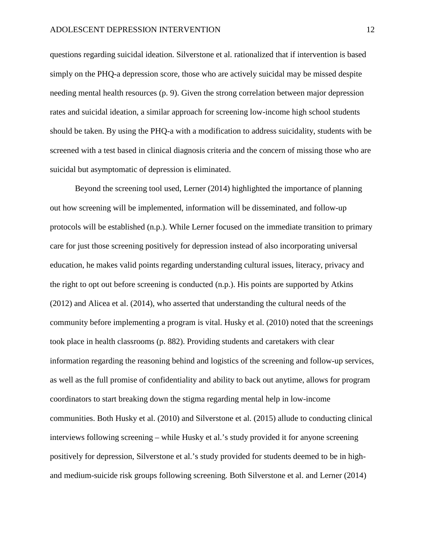questions regarding suicidal ideation. Silverstone et al. rationalized that if intervention is based simply on the PHQ-a depression score, those who are actively suicidal may be missed despite needing mental health resources (p. 9). Given the strong correlation between major depression rates and suicidal ideation, a similar approach for screening low-income high school students should be taken. By using the PHQ-a with a modification to address suicidality, students with be screened with a test based in clinical diagnosis criteria and the concern of missing those who are suicidal but asymptomatic of depression is eliminated.

Beyond the screening tool used, Lerner (2014) highlighted the importance of planning out how screening will be implemented, information will be disseminated, and follow-up protocols will be established (n.p.). While Lerner focused on the immediate transition to primary care for just those screening positively for depression instead of also incorporating universal education, he makes valid points regarding understanding cultural issues, literacy, privacy and the right to opt out before screening is conducted (n.p.). His points are supported by Atkins (2012) and Alicea et al. (2014), who asserted that understanding the cultural needs of the community before implementing a program is vital. Husky et al. (2010) noted that the screenings took place in health classrooms (p. 882). Providing students and caretakers with clear information regarding the reasoning behind and logistics of the screening and follow-up services, as well as the full promise of confidentiality and ability to back out anytime, allows for program coordinators to start breaking down the stigma regarding mental help in low-income communities. Both Husky et al. (2010) and Silverstone et al. (2015) allude to conducting clinical interviews following screening – while Husky et al.'s study provided it for anyone screening positively for depression, Silverstone et al.'s study provided for students deemed to be in highand medium-suicide risk groups following screening. Both Silverstone et al. and Lerner (2014)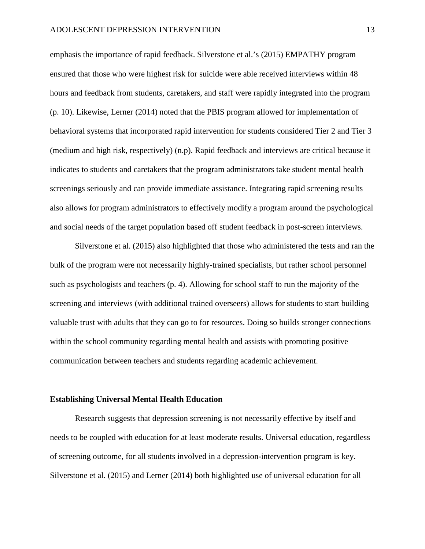emphasis the importance of rapid feedback. Silverstone et al.'s (2015) EMPATHY program ensured that those who were highest risk for suicide were able received interviews within 48 hours and feedback from students, caretakers, and staff were rapidly integrated into the program (p. 10). Likewise, Lerner (2014) noted that the PBIS program allowed for implementation of behavioral systems that incorporated rapid intervention for students considered Tier 2 and Tier 3 (medium and high risk, respectively) (n.p). Rapid feedback and interviews are critical because it indicates to students and caretakers that the program administrators take student mental health screenings seriously and can provide immediate assistance. Integrating rapid screening results also allows for program administrators to effectively modify a program around the psychological and social needs of the target population based off student feedback in post-screen interviews.

Silverstone et al. (2015) also highlighted that those who administered the tests and ran the bulk of the program were not necessarily highly-trained specialists, but rather school personnel such as psychologists and teachers (p. 4). Allowing for school staff to run the majority of the screening and interviews (with additional trained overseers) allows for students to start building valuable trust with adults that they can go to for resources. Doing so builds stronger connections within the school community regarding mental health and assists with promoting positive communication between teachers and students regarding academic achievement.

### **Establishing Universal Mental Health Education**

Research suggests that depression screening is not necessarily effective by itself and needs to be coupled with education for at least moderate results. Universal education, regardless of screening outcome, for all students involved in a depression-intervention program is key. Silverstone et al. (2015) and Lerner (2014) both highlighted use of universal education for all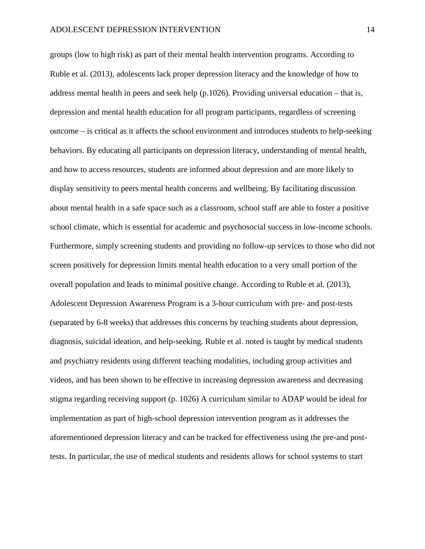groups (low to high risk) as part of their mental health intervention programs. According to Ruble et al. (2013), adolescents lack proper depression literacy and the knowledge of how to address mental health in peers and seek help (p.1026). Providing universal education – that is, depression and mental health education for all program participants, regardless of screening outcome – is critical as it affects the school environment and introduces students to help-seeking behaviors. By educating all participants on depression literacy, understanding of mental health, and how to access resources, students are informed about depression and are more likely to display sensitivity to peers mental health concerns and wellbeing. By facilitating discussion about mental health in a safe space such as a classroom, school staff are able to foster a positive school climate, which is essential for academic and psychosocial success in low-income schools. Furthermore, simply screening students and providing no follow-up services to those who did not screen positively for depression limits mental health education to a very small portion of the overall population and leads to minimal positive change. According to Ruble et al. (2013), Adolescent Depression Awareness Program is a 3-hour curriculum with pre- and post-tests (separated by 6-8 weeks) that addresses this concerns by teaching students about depression, diagnosis, suicidal ideation, and help-seeking. Ruble et al. noted is taught by medical students and psychiatry residents using different teaching modalities, including group activities and videos, and has been shown to be effective in increasing depression awareness and decreasing stigma regarding receiving support (p. 1026) A curriculum similar to ADAP would be ideal for implementation as part of high-school depression intervention program as it addresses the aforementioned depression literacy and can be tracked for effectiveness using the pre-and posttests. In particular, the use of medical students and residents allows for school systems to start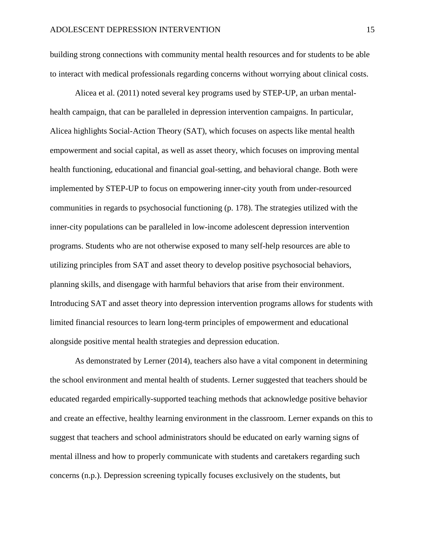building strong connections with community mental health resources and for students to be able to interact with medical professionals regarding concerns without worrying about clinical costs.

Alicea et al. (2011) noted several key programs used by STEP-UP, an urban mentalhealth campaign, that can be paralleled in depression intervention campaigns. In particular, Alicea highlights Social-Action Theory (SAT), which focuses on aspects like mental health empowerment and social capital, as well as asset theory, which focuses on improving mental health functioning, educational and financial goal-setting, and behavioral change. Both were implemented by STEP-UP to focus on empowering inner-city youth from under-resourced communities in regards to psychosocial functioning (p. 178). The strategies utilized with the inner-city populations can be paralleled in low-income adolescent depression intervention programs. Students who are not otherwise exposed to many self-help resources are able to utilizing principles from SAT and asset theory to develop positive psychosocial behaviors, planning skills, and disengage with harmful behaviors that arise from their environment. Introducing SAT and asset theory into depression intervention programs allows for students with limited financial resources to learn long-term principles of empowerment and educational alongside positive mental health strategies and depression education.

As demonstrated by Lerner (2014), teachers also have a vital component in determining the school environment and mental health of students. Lerner suggested that teachers should be educated regarded empirically-supported teaching methods that acknowledge positive behavior and create an effective, healthy learning environment in the classroom. Lerner expands on this to suggest that teachers and school administrators should be educated on early warning signs of mental illness and how to properly communicate with students and caretakers regarding such concerns (n.p.). Depression screening typically focuses exclusively on the students, but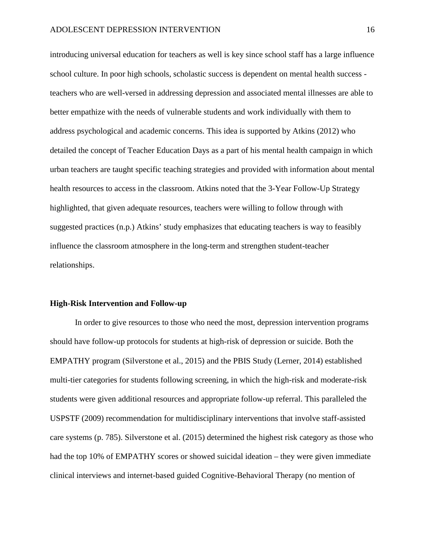introducing universal education for teachers as well is key since school staff has a large influence school culture. In poor high schools, scholastic success is dependent on mental health success teachers who are well-versed in addressing depression and associated mental illnesses are able to better empathize with the needs of vulnerable students and work individually with them to address psychological and academic concerns. This idea is supported by Atkins (2012) who detailed the concept of Teacher Education Days as a part of his mental health campaign in which urban teachers are taught specific teaching strategies and provided with information about mental health resources to access in the classroom. Atkins noted that the 3-Year Follow-Up Strategy highlighted, that given adequate resources, teachers were willing to follow through with suggested practices (n.p.) Atkins' study emphasizes that educating teachers is way to feasibly influence the classroom atmosphere in the long-term and strengthen student-teacher relationships.

### **High-Risk Intervention and Follow-up**

In order to give resources to those who need the most, depression intervention programs should have follow-up protocols for students at high-risk of depression or suicide. Both the EMPATHY program (Silverstone et al., 2015) and the PBIS Study (Lerner, 2014) established multi-tier categories for students following screening, in which the high-risk and moderate-risk students were given additional resources and appropriate follow-up referral. This paralleled the USPSTF (2009) recommendation for multidisciplinary interventions that involve staff-assisted care systems (p. 785). Silverstone et al. (2015) determined the highest risk category as those who had the top 10% of EMPATHY scores or showed suicidal ideation – they were given immediate clinical interviews and internet-based guided Cognitive-Behavioral Therapy (no mention of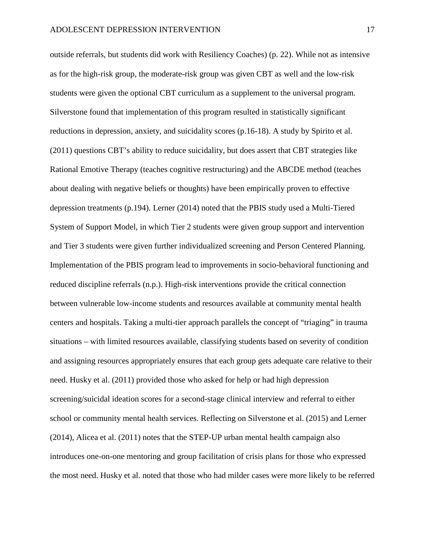outside referrals, but students did work with Resiliency Coaches) (p. 22). While not as intensive as for the high-risk group, the moderate-risk group was given CBT as well and the low-risk students were given the optional CBT curriculum as a supplement to the universal program. Silverstone found that implementation of this program resulted in statistically significant reductions in depression, anxiety, and suicidality scores (p.16-18). A study by Spirito et al. (2011) questions CBT's ability to reduce suicidality, but does assert that CBT strategies like Rational Emotive Therapy (teaches cognitive restructuring) and the ABCDE method (teaches about dealing with negative beliefs or thoughts) have been empirically proven to effective depression treatments (p.194). Lerner (2014) noted that the PBIS study used a Multi-Tiered System of Support Model, in which Tier 2 students were given group support and intervention and Tier 3 students were given further individualized screening and Person Centered Planning. Implementation of the PBIS program lead to improvements in socio-behavioral functioning and reduced discipline referrals (n.p.). High-risk interventions provide the critical connection between vulnerable low-income students and resources available at community mental health centers and hospitals. Taking a multi-tier approach parallels the concept of "triaging" in trauma situations – with limited resources available, classifying students based on severity of condition and assigning resources appropriately ensures that each group gets adequate care relative to their need. Husky et al. (2011) provided those who asked for help or had high depression screening/suicidal ideation scores for a second-stage clinical interview and referral to either school or community mental health services. Reflecting on Silverstone et al. (2015) and Lerner (2014), Alicea et al. (2011) notes that the STEP-UP urban mental health campaign also introduces one-on-one mentoring and group facilitation of crisis plans for those who expressed the most need. Husky et al. noted that those who had milder cases were more likely to be referred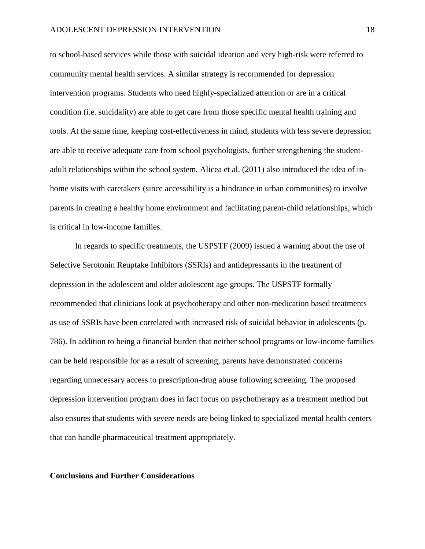to school-based services while those with suicidal ideation and very high-risk were referred to community mental health services. A similar strategy is recommended for depression intervention programs. Students who need highly-specialized attention or are in a critical condition (i.e. suicidality) are able to get care from those specific mental health training and tools. At the same time, keeping cost-effectiveness in mind, students with less severe depression are able to receive adequate care from school psychologists, further strengthening the studentadult relationships within the school system. Alicea et al. (2011) also introduced the idea of inhome visits with caretakers (since accessibility is a hindrance in urban communities) to involve parents in creating a healthy home environment and facilitating parent-child relationships, which is critical in low-income families.

In regards to specific treatments, the USPSTF (2009) issued a warning about the use of Selective Serotonin Reuptake Inhibitors (SSRIs) and antidepressants in the treatment of depression in the adolescent and older adolescent age groups. The USPSTF formally recommended that clinicians look at psychotherapy and other non-medication based treatments as use of SSRIs have been correlated with increased risk of suicidal behavior in adolescents (p. 786). In addition to being a financial burden that neither school programs or low-income families can be held responsible for as a result of screening, parents have demonstrated concerns regarding unnecessary access to prescription-drug abuse following screening. The proposed depression intervention program does in fact focus on psychotherapy as a treatment method but also ensures that students with severe needs are being linked to specialized mental health centers that can handle pharmaceutical treatment appropriately.

### **Conclusions and Further Considerations**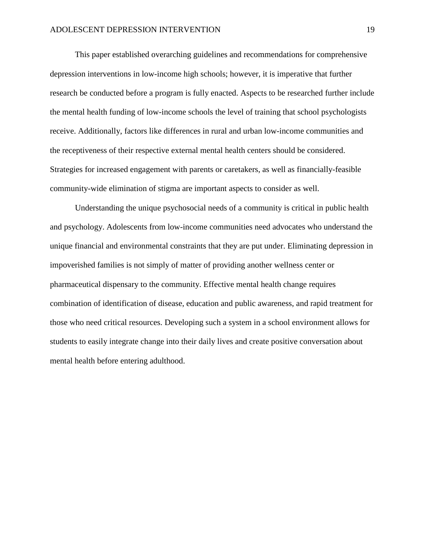This paper established overarching guidelines and recommendations for comprehensive depression interventions in low-income high schools; however, it is imperative that further research be conducted before a program is fully enacted. Aspects to be researched further include the mental health funding of low-income schools the level of training that school psychologists receive. Additionally, factors like differences in rural and urban low-income communities and the receptiveness of their respective external mental health centers should be considered. Strategies for increased engagement with parents or caretakers, as well as financially-feasible community-wide elimination of stigma are important aspects to consider as well.

Understanding the unique psychosocial needs of a community is critical in public health and psychology. Adolescents from low-income communities need advocates who understand the unique financial and environmental constraints that they are put under. Eliminating depression in impoverished families is not simply of matter of providing another wellness center or pharmaceutical dispensary to the community. Effective mental health change requires combination of identification of disease, education and public awareness, and rapid treatment for those who need critical resources. Developing such a system in a school environment allows for students to easily integrate change into their daily lives and create positive conversation about mental health before entering adulthood.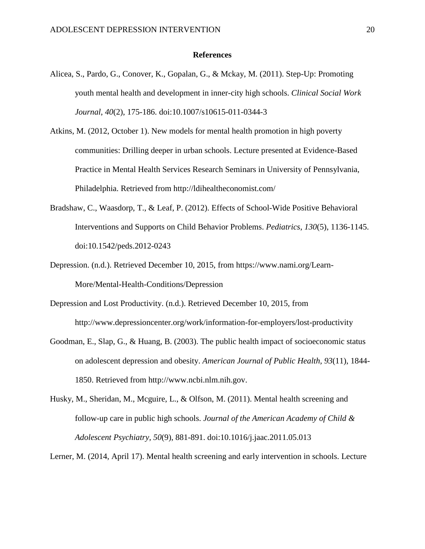### **References**

- Alicea, S., Pardo, G., Conover, K., Gopalan, G., & Mckay, M. (2011). Step-Up: Promoting youth mental health and development in inner-city high schools. *Clinical Social Work Journal*, *40*(2), 175-186. doi:10.1007/s10615-011-0344-3
- Atkins, M. (2012, October 1). New models for mental health promotion in high poverty communities: Drilling deeper in urban schools. Lecture presented at Evidence-Based Practice in Mental Health Services Research Seminars in University of Pennsylvania, Philadelphia. Retrieved from<http://ldihealtheconomist.com/>
- Bradshaw, C., Waasdorp, T., & Leaf, P. (2012). Effects of School-Wide Positive Behavioral Interventions and Supports on Child Behavior Problems. *Pediatrics*, *130*(5), 1136-1145. doi:10.1542/peds.2012-0243
- Depression. (n.d.). Retrieved December 10, 2015, from https://www.nami.org/Learn-More/Mental-Health-Conditions/Depression
- Depression and Lost Productivity. (n.d.). Retrieved December 10, 2015, from http://www.depressioncenter.org/work/information-for-employers/lost-productivity
- Goodman, E., Slap, G., & Huang, B. (2003). The public health impact of socioeconomic status on adolescent depression and obesity. *American Journal of Public Health, 93*(11), 1844- 1850. Retrieved from [http://www.ncbi.nlm.nih.gov.](http://www.ncbi.nlm.nih.gov/)
- Husky, M., Sheridan, M., Mcguire, L., & Olfson, M. (2011). Mental health screening and follow-up care in public high schools. *Journal of the American Academy of Child & Adolescent Psychiatry, 50*(9), 881-891. [doi:10.1016/j.jaac.2011.05.013](http://dx.doi.org/10.1016/j.jaac.2011.05.013)

Lerner, M. (2014, April 17). Mental health screening and early intervention in schools. Lecture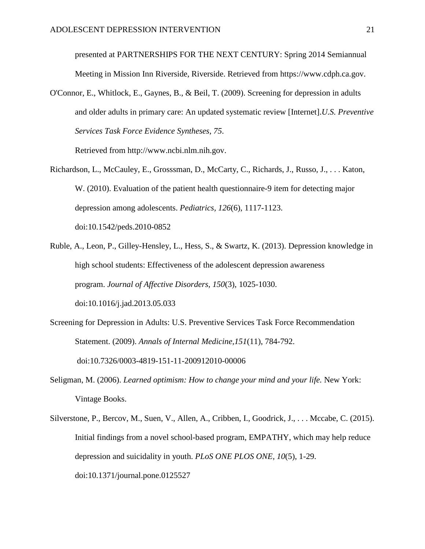presented at PARTNERSHIPS FOR THE NEXT CENTURY: Spring 2014 Semiannual Meeting in Mission Inn Riverside, Riverside. Retrieved from [https://www.cdph.ca.gov.](https://www.cdph.ca.gov/)

O'Connor, E., Whitlock, E., Gaynes, B., & Beil, T. (2009). Screening for depression in adults and older adults in primary care: An updated systematic review [Internet].*U.S. Preventive Services Task Force Evidence Syntheses, 75*.

Retrieved from http://www.ncbi.nlm.nih.gov.

- Richardson, L., McCauley, E., Grosssman, D., McCarty, C., Richards, J., Russo, J., . . . Katon, W. (2010). Evaluation of the patient health questionnaire-9 item for detecting major depression among adolescents. *Pediatrics, 126*(6), 1117-1123. doi:10.1542/peds.2010-0852
- Ruble, A., Leon, P., Gilley-Hensley, L., Hess, S., & Swartz, K. (2013). Depression knowledge in high school students: Effectiveness of the adolescent depression awareness program. *Journal of Affective Disorders, 150*(3), 1025-1030. doi:10.1016/j.jad.2013.05.033
- Screening for Depression in Adults: U.S. Preventive Services Task Force Recommendation Statement. (2009). *Annals of Internal Medicine,151*(11), 784-792. doi:10.7326/0003-4819-151-11-200912010-00006
- Seligman, M. (2006). *Learned optimism: How to change your mind and your life.* New York: Vintage Books.
- Silverstone, P., Bercov, M., Suen, V., Allen, A., Cribben, I., Goodrick, J., . . . Mccabe, C. (2015). Initial findings from a novel school-based program, EMPATHY, which may help reduce depression and suicidality in youth. *PLoS ONE PLOS ONE, 10*(5), 1-29. doi[:10.1371/journal.pone.0125527](http://dx.doi.org/10.1371%2Fjournal.pone.0125527)